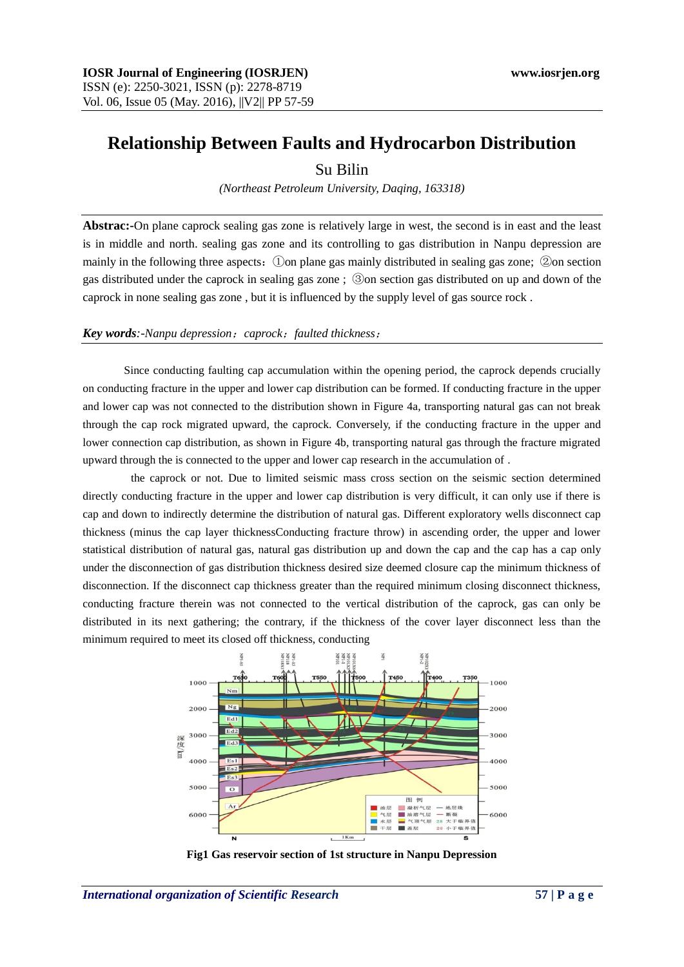# **Relationship Between Faults and Hydrocarbon Distribution**

## Su Bilin

*(Northeast Petroleum University, Daqing, 163318)*

**Abstrac:-**On plane caprock sealing gas zone is relatively large in west, the second is in east and the least is in middle and north. sealing gas zone and its controlling to gas distribution in Nanpu depression are mainly in the following three aspects:①on plane gas mainly distributed in sealing gas zone; ②on section gas distributed under the caprock in sealing gas zone ; ③on section gas distributed on up and down of the caprock in none sealing gas zone , but it is influenced by the supply level of gas source rock .

#### *Key words:-Nanpu depression*;*caprock*;*faulted thickness*;

Since conducting faulting cap accumulation within the opening period, the caprock depends crucially on conducting fracture in the upper and lower cap distribution can be formed. If conducting fracture in the upper and lower cap was not connected to the distribution shown in Figure 4a, transporting natural gas can not break through the cap rock migrated upward, the caprock. Conversely, if the conducting fracture in the upper and lower connection cap distribution, as shown in Figure 4b, transporting natural gas through the fracture migrated upward through the is connected to the upper and lower cap research in the accumulation of .

the caprock or not. Due to limited seismic mass cross section on the seismic section determined directly conducting fracture in the upper and lower cap distribution is very difficult, it can only use if there is cap and down to indirectly determine the distribution of natural gas. Different exploratory wells disconnect cap thickness (minus the cap layer thicknessConducting fracture throw) in ascending order, the upper and lower statistical distribution of natural gas, natural gas distribution up and down the cap and the cap has a cap only under the disconnection of gas distribution thickness desired size deemed closure cap the minimum thickness of disconnection. If the disconnect cap thickness greater than the required minimum closing disconnect thickness, conducting fracture therein was not connected to the vertical distribution of the caprock, gas can only be distributed in its next gathering; the contrary, if the thickness of the cover layer disconnect less than the minimum required to meet its closed off thickness, conducting



**Fig1 Gas reservoir section of 1st structure in Nanpu Depression**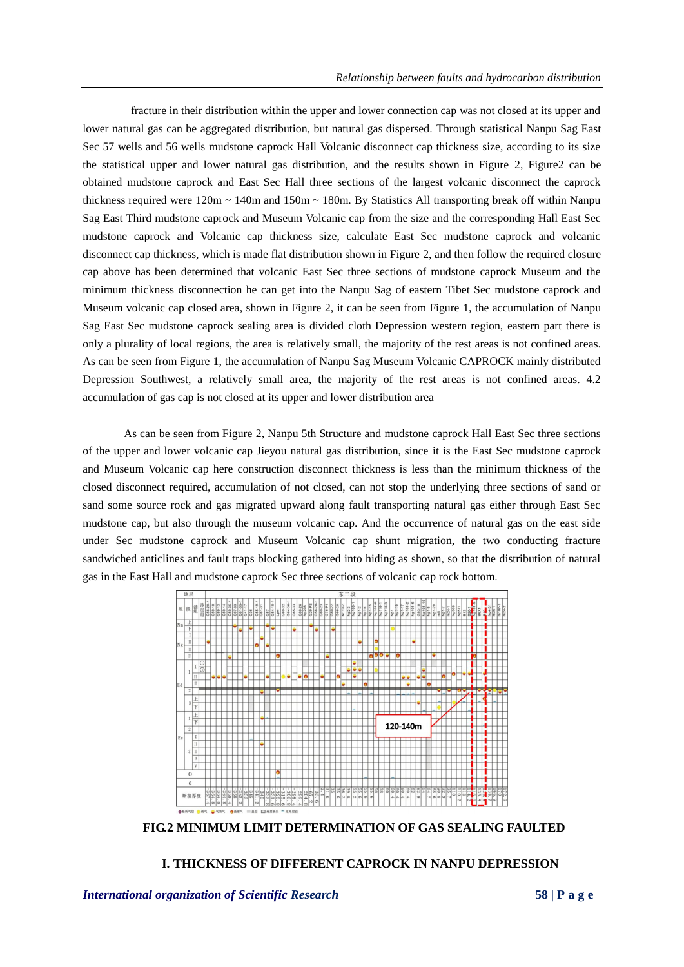fracture in their distribution within the upper and lower connection cap was not closed at its upper and lower natural gas can be aggregated distribution, but natural gas dispersed. Through statistical Nanpu Sag East Sec 57 wells and 56 wells mudstone caprock Hall Volcanic disconnect cap thickness size, according to its size the statistical upper and lower natural gas distribution, and the results shown in Figure 2, Figure2 can be obtained mudstone caprock and East Sec Hall three sections of the largest volcanic disconnect the caprock thickness required were  $120m \sim 140m$  and  $150m \sim 180m$ . By Statistics All transporting break off within Nanpu Sag East Third mudstone caprock and Museum Volcanic cap from the size and the corresponding Hall East Sec mudstone caprock and Volcanic cap thickness size, calculate East Sec mudstone caprock and volcanic disconnect cap thickness, which is made flat distribution shown in Figure 2, and then follow the required closure cap above has been determined that volcanic East Sec three sections of mudstone caprock Museum and the minimum thickness disconnection he can get into the Nanpu Sag of eastern Tibet Sec mudstone caprock and Museum volcanic cap closed area, shown in Figure 2, it can be seen from Figure 1, the accumulation of Nanpu Sag East Sec mudstone caprock sealing area is divided cloth Depression western region, eastern part there is only a plurality of local regions, the area is relatively small, the majority of the rest areas is not confined areas. As can be seen from Figure 1, the accumulation of Nanpu Sag Museum Volcanic CAPROCK mainly distributed Depression Southwest, a relatively small area, the majority of the rest areas is not confined areas. 4.2 accumulation of gas cap is not closed at its upper and lower distribution area

As can be seen from Figure 2, Nanpu 5th Structure and mudstone caprock Hall East Sec three sections of the upper and lower volcanic cap Jieyou natural gas distribution, since it is the East Sec mudstone caprock and Museum Volcanic cap here construction disconnect thickness is less than the minimum thickness of the closed disconnect required, accumulation of not closed, can not stop the underlying three sections of sand or sand some source rock and gas migrated upward along fault transporting natural gas either through East Sec mudstone cap, but also through the museum volcanic cap. And the occurrence of natural gas on the east side under Sec mudstone caprock and Museum Volcanic cap shunt migration, the two conducting fracture sandwiched anticlines and fault traps blocking gathered into hiding as shown, so that the distribution of natural gas in the East Hall and mudstone caprock Sec three sections of volcanic cap rock bottom.



**FIG.2 MINIMUM LIMIT DETERMINATION OF GAS SEALING FAULTED** 

### **I. THICKNESS OF DIFFERENT CAPROCK IN NANPU DEPRESSION**